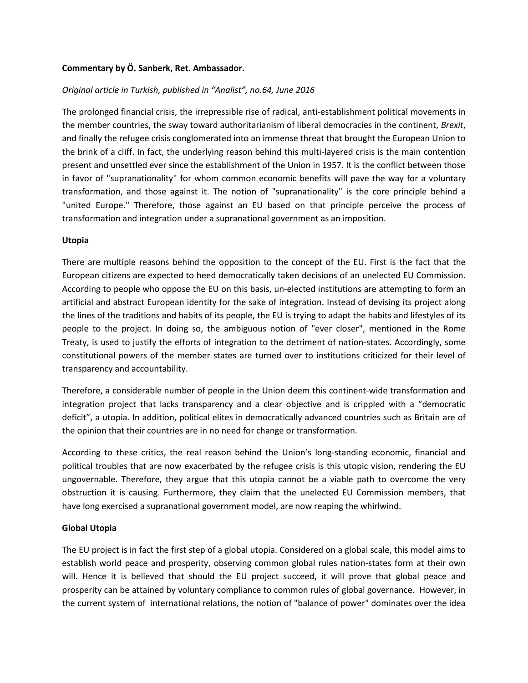### **Commentary by Ö. Sanberk, Ret. Ambassador.**

### *Original article in Turkish, published in "Analist", no.64, June 2016*

The prolonged financial crisis, the irrepressible rise of radical, anti-establishment political movements in the member countries, the sway toward authoritarianism of liberal democracies in the continent, *Brexit*, and finally the refugee crisis conglomerated into an immense threat that brought the European Union to the brink of a cliff. In fact, the underlying reason behind this multi-layered crisis is the main contention present and unsettled ever since the establishment of the Union in 1957. It is the conflict between those in favor of "supranationality" for whom common economic benefits will pave the way for a voluntary transformation, and those against it. The notion of "supranationality" is the core principle behind a "united Europe." Therefore, those against an EU based on that principle perceive the process of transformation and integration under a supranational government as an imposition.

#### **Utopia**

There are multiple reasons behind the opposition to the concept of the EU. First is the fact that the European citizens are expected to heed democratically taken decisions of an unelected EU Commission. According to people who oppose the EU on this basis, un-elected institutions are attempting to form an artificial and abstract European identity for the sake of integration. Instead of devising its project along the lines of the traditions and habits of its people, the EU is trying to adapt the habits and lifestyles of its people to the project. In doing so, the ambiguous notion of "ever closer", mentioned in the Rome Treaty, is used to justify the efforts of integration to the detriment of nation-states. Accordingly, some constitutional powers of the member states are turned over to institutions criticized for their level of transparency and accountability.

Therefore, a considerable number of people in the Union deem this continent-wide transformation and integration project that lacks transparency and a clear objective and is crippled with a "democratic deficit", a utopia. In addition, political elites in democratically advanced countries such as Britain are of the opinion that their countries are in no need for change or transformation.

According to these critics, the real reason behind the Union's long-standing economic, financial and political troubles that are now exacerbated by the refugee crisis is this utopic vision, rendering the EU ungovernable. Therefore, they argue that this utopia cannot be a viable path to overcome the very obstruction it is causing. Furthermore, they claim that the unelected EU Commission members, that have long exercised a supranational government model, are now reaping the whirlwind.

#### **Global Utopia**

The EU project is in fact the first step of a global utopia. Considered on a global scale, this model aims to establish world peace and prosperity, observing common global rules nation-states form at their own will. Hence it is believed that should the EU project succeed, it will prove that global peace and prosperity can be attained by voluntary compliance to common rules of global governance. However, in the current system of international relations, the notion of "balance of power" dominates over the idea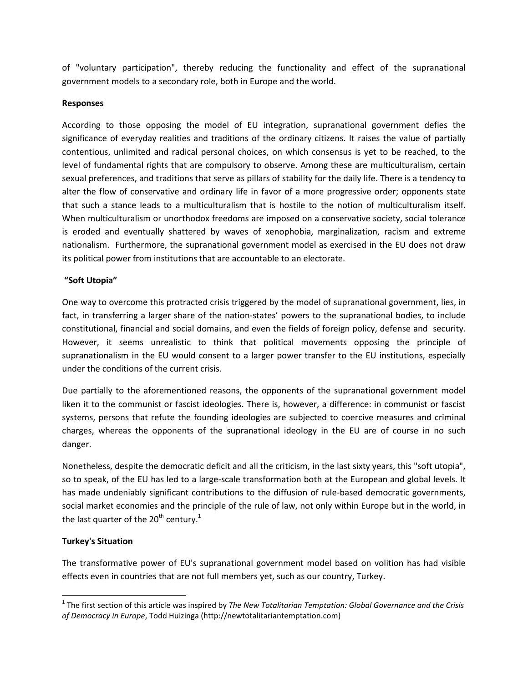of "voluntary participation", thereby reducing the functionality and effect of the supranational government models to a secondary role, both in Europe and the world.

### **Responses**

According to those opposing the model of EU integration, supranational government defies the significance of everyday realities and traditions of the ordinary citizens. It raises the value of partially contentious, unlimited and radical personal choices, on which consensus is yet to be reached, to the level of fundamental rights that are compulsory to observe. Among these are multiculturalism, certain sexual preferences, and traditions that serve as pillars of stability for the daily life. There is a tendency to alter the flow of conservative and ordinary life in favor of a more progressive order; opponents state that such a stance leads to a multiculturalism that is hostile to the notion of multiculturalism itself. When multiculturalism or unorthodox freedoms are imposed on a conservative society, social tolerance is eroded and eventually shattered by waves of xenophobia, marginalization, racism and extreme nationalism. Furthermore, the supranational government model as exercised in the EU does not draw its political power from institutions that are accountable to an electorate.

# **"Soft Utopia"**

One way to overcome this protracted crisis triggered by the model of supranational government, lies, in fact, in transferring a larger share of the nation-states' powers to the supranational bodies, to include constitutional, financial and social domains, and even the fields of foreign policy, defense and security. However, it seems unrealistic to think that political movements opposing the principle of supranationalism in the EU would consent to a larger power transfer to the EU institutions, especially under the conditions of the current crisis.

Due partially to the aforementioned reasons, the opponents of the supranational government model liken it to the communist or fascist ideologies. There is, however, a difference: in communist or fascist systems, persons that refute the founding ideologies are subjected to coercive measures and criminal charges, whereas the opponents of the supranational ideology in the EU are of course in no such danger.

Nonetheless, despite the democratic deficit and all the criticism, in the last sixty years, this "soft utopia", so to speak, of the EU has led to a large-scale transformation both at the European and global levels. It has made undeniably significant contributions to the diffusion of rule-based democratic governments, social market economies and the principle of the rule of law, not only within Europe but in the world, in the last quarter of the  $20<sup>th</sup>$  century.<sup>1</sup>

# **Turkey's Situation**

l

The transformative power of EU's supranational government model based on volition has had visible effects even in countries that are not full members yet, such as our country, Turkey.

<sup>1</sup> The first section of this article was inspired by *The New Totalitarian Temptation: Global Governance and the Crisis of Democracy in Europe*, Todd Huizinga (http://newtotalitariantemptation.com)